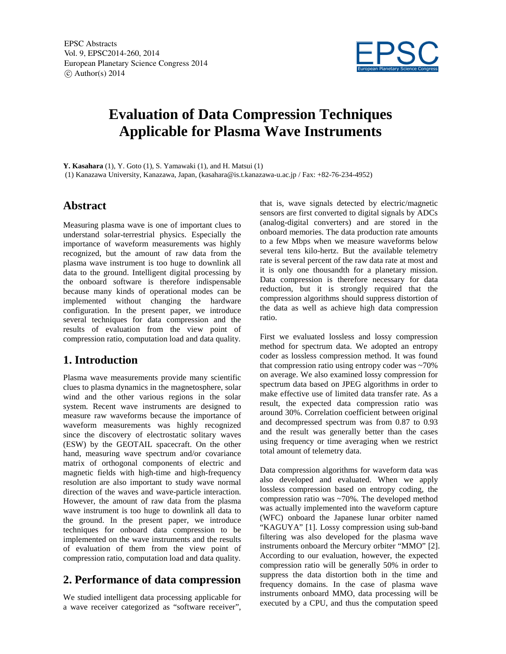

# **Evaluation of Data Compression Techniques Applicable for Plasma Wave Instruments**

**Y. Kasahara** (1), Y. Goto (1), S. Yamawaki (1), and H. Matsui (1) (1) Kanazawa University, Kanazawa, Japan, (kasahara@is.t.kanazawa-u.ac.jp / Fax: +82-76-234-4952)

## **Abstract**

Measuring plasma wave is one of important clues to understand solar-terrestrial physics. Especially the importance of waveform measurements was highly recognized, but the amount of raw data from the plasma wave instrument is too huge to downlink all data to the ground. Intelligent digital processing by the onboard software is therefore indispensable because many kinds of operational modes can be implemented without changing the hardware configuration. In the present paper, we introduce several techniques for data compression and the results of evaluation from the view point of compression ratio, computation load and data quality.

## **1. Introduction**

Plasma wave measurements provide many scientific clues to plasma dynamics in the magnetosphere, solar wind and the other various regions in the solar system. Recent wave instruments are designed to measure raw waveforms because the importance of waveform measurements was highly recognized since the discovery of electrostatic solitary waves (ESW) by the GEOTAIL spacecraft. On the other hand, measuring wave spectrum and/or covariance matrix of orthogonal components of electric and magnetic fields with high-time and high-frequency resolution are also important to study wave normal direction of the waves and wave-particle interaction. However, the amount of raw data from the plasma wave instrument is too huge to downlink all data to the ground. In the present paper, we introduce techniques for onboard data compression to be implemented on the wave instruments and the results of evaluation of them from the view point of compression ratio, computation load and data quality.

## **2. Performance of data compression**

We studied intelligent data processing applicable for a wave receiver categorized as "software receiver", that is, wave signals detected by electric/magnetic sensors are first converted to digital signals by ADCs (analog-digital converters) and are stored in the onboard memories. The data production rate amounts to a few Mbps when we measure waveforms below several tens kilo-hertz. But the available telemetry rate is several percent of the raw data rate at most and it is only one thousandth for a planetary mission. Data compression is therefore necessary for data reduction, but it is strongly required that the compression algorithms should suppress distortion of the data as well as achieve high data compression ratio.

First we evaluated lossless and lossy compression method for spectrum data. We adopted an entropy coder as lossless compression method. It was found that compression ratio using entropy coder was ~70% on average. We also examined lossy compression for spectrum data based on JPEG algorithms in order to make effective use of limited data transfer rate. As a result, the expected data compression ratio was around 30%. Correlation coefficient between original and decompressed spectrum was from 0.87 to 0.93 and the result was generally better than the cases using frequency or time averaging when we restrict total amount of telemetry data.

Data compression algorithms for waveform data was also developed and evaluated. When we apply lossless compression based on entropy coding, the compression ratio was ~70%. The developed method was actually implemented into the waveform capture (WFC) onboard the Japanese lunar orbiter named "KAGUYA" [1]. Lossy compression using sub-band filtering was also developed for the plasma wave instruments onboard the Mercury orbiter "MMO" [2]. According to our evaluation, however, the expected compression ratio will be generally 50% in order to suppress the data distortion both in the time and frequency domains. In the case of plasma wave instruments onboard MMO, data processing will be executed by a CPU, and thus the computation speed